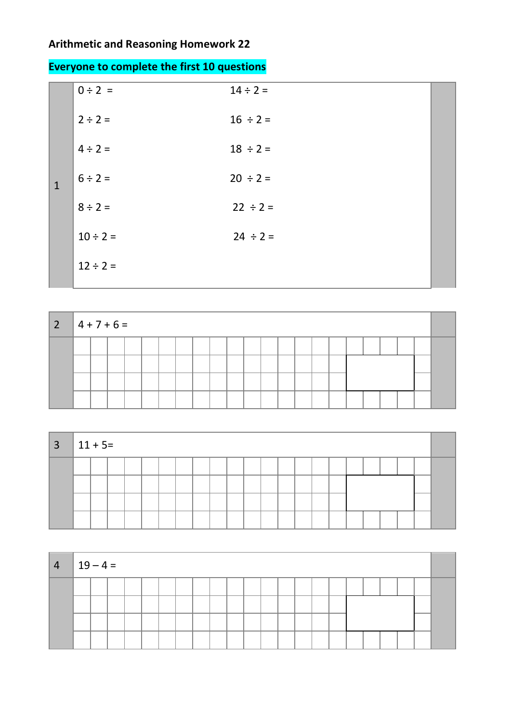## **Arithmetic and Reasoning Homework 22**

|  |  |  | <b>Everyone to complete the first 10 questions</b> |
|--|--|--|----------------------------------------------------|
|--|--|--|----------------------------------------------------|

|              | $0 \div 2 =$  | $14 \div 2 =$ |  |
|--------------|---------------|---------------|--|
|              | $2 \div 2 =$  | $16 \div 2 =$ |  |
|              | $4 \div 2 =$  | $18 \div 2 =$ |  |
| $\mathbf{1}$ | $6 \div 2 =$  | $20 \div 2 =$ |  |
|              | $8 \div 2 =$  | $22 \div 2 =$ |  |
|              | $10 \div 2 =$ | $24 \div 2 =$ |  |
|              | $12 \div 2 =$ |               |  |
|              |               |               |  |

| $2 \mid 4 + 7 + 6 =$ |  |  |  |  |  |  |  |  |  |  |  |
|----------------------|--|--|--|--|--|--|--|--|--|--|--|
|                      |  |  |  |  |  |  |  |  |  |  |  |
|                      |  |  |  |  |  |  |  |  |  |  |  |
|                      |  |  |  |  |  |  |  |  |  |  |  |
|                      |  |  |  |  |  |  |  |  |  |  |  |

| $3 \mid 11 + 5 =$ |  |  |  |  |  |  |  |  |  |  |  |
|-------------------|--|--|--|--|--|--|--|--|--|--|--|
|                   |  |  |  |  |  |  |  |  |  |  |  |
|                   |  |  |  |  |  |  |  |  |  |  |  |
|                   |  |  |  |  |  |  |  |  |  |  |  |
|                   |  |  |  |  |  |  |  |  |  |  |  |

| $4   19 - 4 =$ |  |  |  |  |  |  |  |  |  |  |  |
|----------------|--|--|--|--|--|--|--|--|--|--|--|
|                |  |  |  |  |  |  |  |  |  |  |  |
|                |  |  |  |  |  |  |  |  |  |  |  |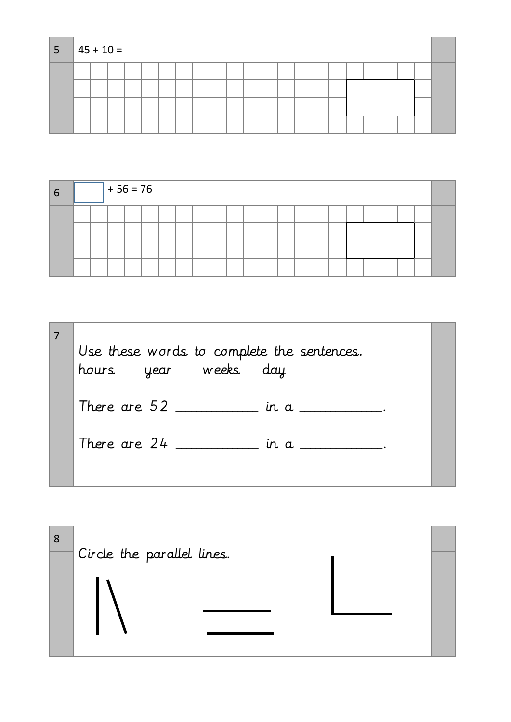| 5 | $\parallel$ 45 + 10 = |  |  |  |  |  |  |  |  |  |  |  |
|---|-----------------------|--|--|--|--|--|--|--|--|--|--|--|
|   |                       |  |  |  |  |  |  |  |  |  |  |  |
|   |                       |  |  |  |  |  |  |  |  |  |  |  |
|   |                       |  |  |  |  |  |  |  |  |  |  |  |
|   |                       |  |  |  |  |  |  |  |  |  |  |  |

| -6 |  | $+56 = 76$ |  |  |  |  |  |  |  |  |  |
|----|--|------------|--|--|--|--|--|--|--|--|--|
|    |  |            |  |  |  |  |  |  |  |  |  |
|    |  |            |  |  |  |  |  |  |  |  |  |
|    |  |            |  |  |  |  |  |  |  |  |  |

| Use these words to complete the sentences.<br>hours year weeks day |  |
|--------------------------------------------------------------------|--|
| There are $52$ ____________ in a __________.                       |  |
| There are 24<br>in a __________.                                   |  |
|                                                                    |  |

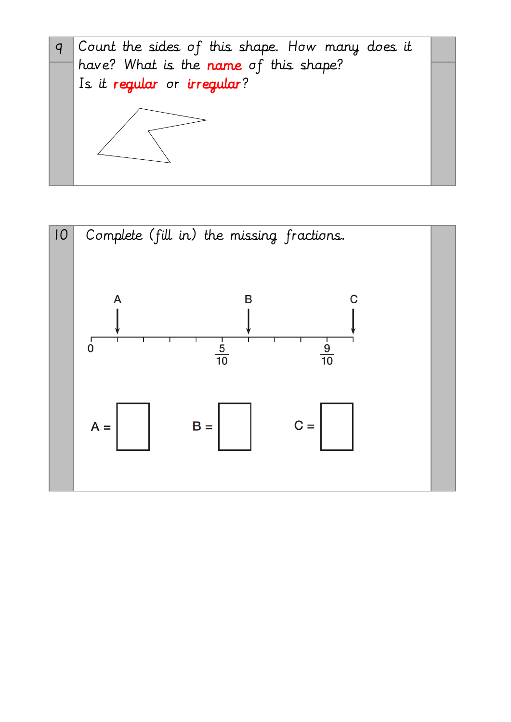

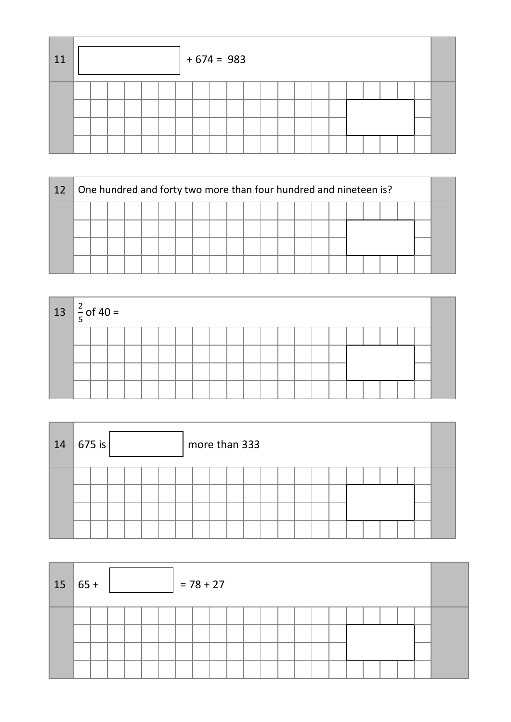| 11 |  |  |  | $+674 = 983$ |  |  |  |  |  |  |  |
|----|--|--|--|--------------|--|--|--|--|--|--|--|
|    |  |  |  |              |  |  |  |  |  |  |  |
|    |  |  |  |              |  |  |  |  |  |  |  |

| 12 |  |  |  | One hundred and forty two more than four hundred and nineteen is? |  |  |  |  |  |  |  |  |  |  |  |  |  |  |  |
|----|--|--|--|-------------------------------------------------------------------|--|--|--|--|--|--|--|--|--|--|--|--|--|--|--|
|    |  |  |  |                                                                   |  |  |  |  |  |  |  |  |  |  |  |  |  |  |  |
|    |  |  |  |                                                                   |  |  |  |  |  |  |  |  |  |  |  |  |  |  |  |
|    |  |  |  |                                                                   |  |  |  |  |  |  |  |  |  |  |  |  |  |  |  |
|    |  |  |  |                                                                   |  |  |  |  |  |  |  |  |  |  |  |  |  |  |  |

| $13 \left  \frac{2}{5} \right.$ of 40 = |  |  |  |  |  |  |  |  |  |  |  |
|-----------------------------------------|--|--|--|--|--|--|--|--|--|--|--|
|                                         |  |  |  |  |  |  |  |  |  |  |  |
|                                         |  |  |  |  |  |  |  |  |  |  |  |
|                                         |  |  |  |  |  |  |  |  |  |  |  |
|                                         |  |  |  |  |  |  |  |  |  |  |  |

| 14 | 675 is |  |  | more than 333 |  |  |  |  |  |  |  |
|----|--------|--|--|---------------|--|--|--|--|--|--|--|
|    |        |  |  |               |  |  |  |  |  |  |  |

| 15 | $65 +$ |  |  |  | $= 78 + 27$ |  |  |  |  |  |  |  |
|----|--------|--|--|--|-------------|--|--|--|--|--|--|--|
|    |        |  |  |  |             |  |  |  |  |  |  |  |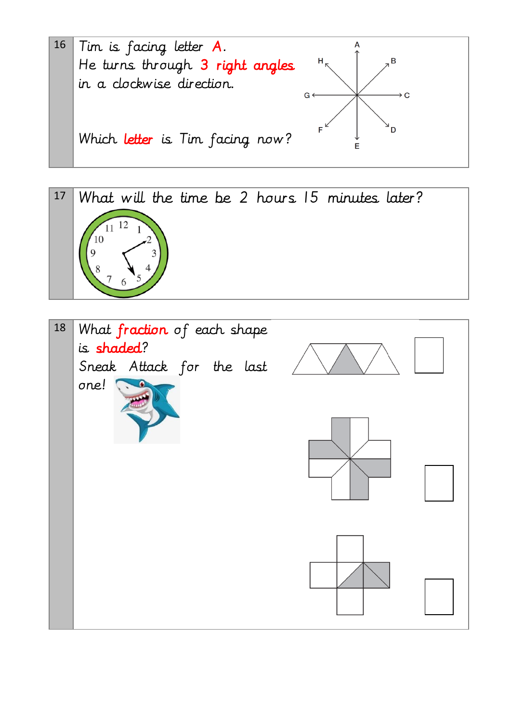



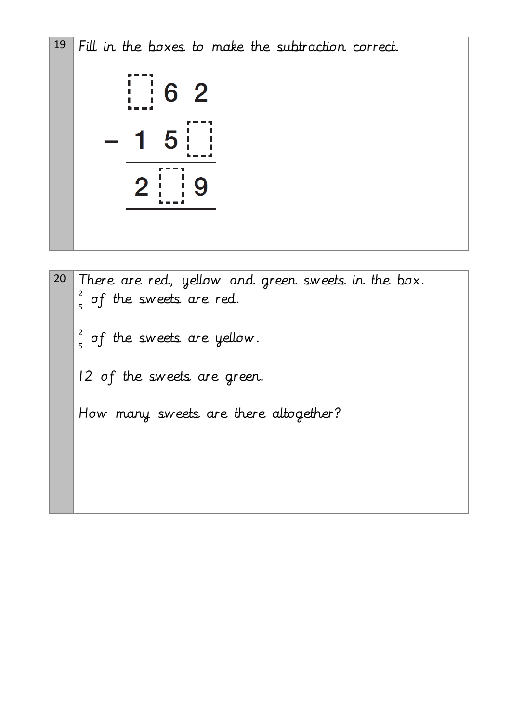19 Fill in the boxes to make the subtraction correct.

$$
-\frac{1}{1} \cdot \frac{6}{5} \cdot \frac{2}{1} \cdot \frac{1}{2} \cdot \frac{1}{1} \cdot \frac{1}{2} \cdot \frac{1}{1} \cdot \frac{1}{2} \cdot \frac{1}{1} \cdot \frac{1}{2} \cdot \frac{1}{2} \cdot \frac{1}{2} \cdot \frac{1}{2} \cdot \frac{1}{2} \cdot \frac{1}{2} \cdot \frac{1}{2} \cdot \frac{1}{2} \cdot \frac{1}{2} \cdot \frac{1}{2} \cdot \frac{1}{2} \cdot \frac{1}{2} \cdot \frac{1}{2} \cdot \frac{1}{2} \cdot \frac{1}{2} \cdot \frac{1}{2} \cdot \frac{1}{2} \cdot \frac{1}{2} \cdot \frac{1}{2} \cdot \frac{1}{2} \cdot \frac{1}{2} \cdot \frac{1}{2} \cdot \frac{1}{2} \cdot \frac{1}{2} \cdot \frac{1}{2} \cdot \frac{1}{2} \cdot \frac{1}{2} \cdot \frac{1}{2} \cdot \frac{1}{2} \cdot \frac{1}{2} \cdot \frac{1}{2} \cdot \frac{1}{2} \cdot \frac{1}{2} \cdot \frac{1}{2} \cdot \frac{1}{2} \cdot \frac{1}{2} \cdot \frac{1}{2} \cdot \frac{1}{2} \cdot \frac{1}{2} \cdot \frac{1}{2} \cdot \frac{1}{2} \cdot \frac{1}{2} \cdot \frac{1}{2} \cdot \frac{1}{2} \cdot \frac{1}{2} \cdot \frac{1}{2} \cdot \frac{1}{2} \cdot \frac{1}{2} \cdot \frac{1}{2} \cdot \frac{1}{2} \cdot \frac{1}{2} \cdot \frac{1}{2} \cdot \frac{1}{2} \cdot \frac{1}{2} \cdot \frac{1}{2} \cdot \frac{1}{2} \cdot \frac{1}{2} \cdot \frac{1}{2} \cdot \frac{1}{2} \cdot \frac{1}{2} \cdot \frac{1}{2} \cdot \frac{1}{2} \cdot \frac{1}{2} \cdot \frac{1}{2} \cdot \frac{1}{2} \cdot \frac{1}{2} \cdot \frac{1}{2} \cdot \frac{1}{2} \cdot \frac{1}{2} \cdot \frac{1}{2} \cdot \frac{1}{2} \cdot \frac{1}{2} \cdot \frac{1}{2} \cdot \frac{1}{2} \cdot \frac{1}{2} \cdot \frac{
$$

20 There are red, yellow and green sweets in the box. 2  $\frac{2}{5}$  of the sweets are red. 2  $\frac{2}{5}$  of the sweets are yellow. 12 of the sweets are green. How many sweets are there altogether?